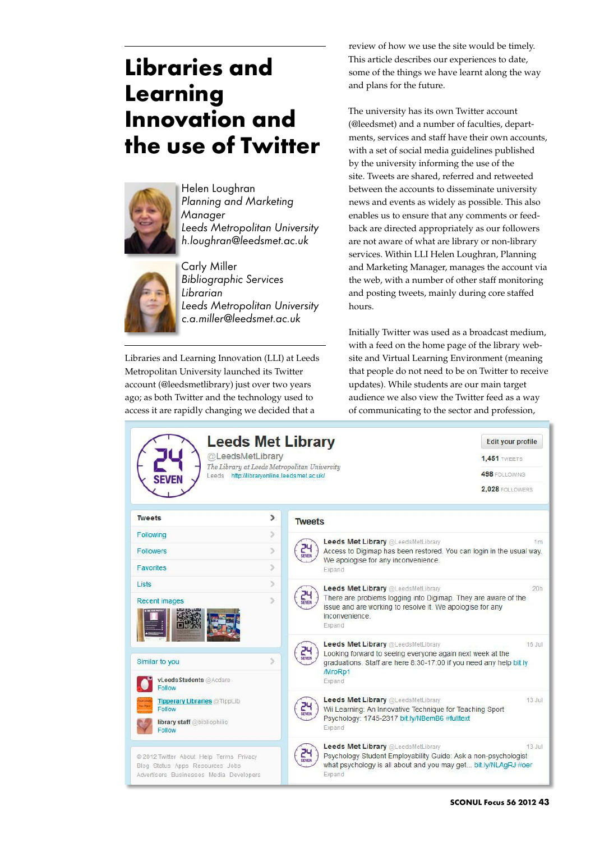## **Libraries and Learning Innovation and the use of Twitter**



Helen Loughran *Planning and Marketing Manager Leeds Metropolitan University h.loughran@leedsmet.ac.uk*



Carly Miller *Bibliographic Services Librarian Leeds Metropolitan University c.a.miller@leedsmet.ac.uk*

Libraries and Learning Innovation (LLI) at Leeds Metropolitan University launched its Twitter account (@leedsmetlibrary) just over two years ago; as both Twitter and the technology used to access it are rapidly changing we decided that a

review of how we use the site would be timely. This article describes our experiences to date, some of the things we have learnt along the way and plans for the future.

The university has its own Twitter account (@leedsmet) and a number of faculties, departments, services and staff have their own accounts, with a set of social media guidelines published by the university informing the use of the site. Tweets are shared, referred and retweeted between the accounts to disseminate university news and events as widely as possible. This also enables us to ensure that any comments or feedback are directed appropriately as our followers are not aware of what are library or non-library services. Within LLI Helen Loughran, Planning and Marketing Manager, manages the account via the web, with a number of other staff monitoring and posting tweets, mainly during core staffed hours.

Initially Twitter was used as a broadcast medium, with a feed on the home page of the library website and Virtual Learning Environment (meaning that people do not need to be on Twitter to receive updates). While students are our main target audience we also view the Twitter feed as a way of communicating to the sector and profession,

| @LeedsMetLibrary                                                                                                      |    | <b>Leeds Met Library</b><br>Edit your profile<br><b>1.451 TWEETS</b>                                                                                                                          |
|-----------------------------------------------------------------------------------------------------------------------|----|-----------------------------------------------------------------------------------------------------------------------------------------------------------------------------------------------|
| Leeds http://libraryonline.leedsmet.ac.uk/                                                                            |    | The Library at Leeds Metropolitan University<br>498 FOLLOWING                                                                                                                                 |
|                                                                                                                       |    | 2.028 FOLLOWERS                                                                                                                                                                               |
| <b>Tweets</b>                                                                                                         | ⋟  | <b>Tweets</b>                                                                                                                                                                                 |
| Following                                                                                                             | y  | <b>Leeds Met Library @LeedsMetLibrary</b><br>1m                                                                                                                                               |
| <b>Followers</b>                                                                                                      | ž. | Access to Digimap has been restored. You can login in the usual way.                                                                                                                          |
| <b>Favorites</b>                                                                                                      | S. | We apologise for any inconvenience.<br>Expand                                                                                                                                                 |
| Lists                                                                                                                 | S. | <b>Leeds Met Library @LeedsMetLibrary</b><br>20h                                                                                                                                              |
| <b>Recent images</b>                                                                                                  | У  | There are problems logging into Digimap. They are aware of the<br>issue and are working to resolve it. We apologise for any<br>inconvenience<br>Expand                                        |
|                                                                                                                       |    | <b>Leeds Met Library @LeedsMetLibrary</b><br>$16$ Jul<br>Looking forward to seeing everyone again next week at the                                                                            |
| Similar to you                                                                                                        | S  | graduations. Staff are here 8:30-17:00 if you need any help bit.ly<br>/MroRp1                                                                                                                 |
| vLeedsStudents @Acdare<br>Follow                                                                                      |    | Expand                                                                                                                                                                                        |
| <b>Tipperary Libraries @TippLib</b><br>Follow                                                                         |    | <b>Leeds Met Library @LeedsMetLibrary</b><br>13 Jul<br>Wii Learning: An Innovative Technique for Teaching Sport                                                                               |
| library staff @bibliophilio<br>Follow                                                                                 |    | Psychology: 1745-2317 bit.ly/NBemB6 #fulltext<br>Expand                                                                                                                                       |
| @ 2012 Twitter About Help Terms Privacy<br>Blog Status Apps Resources Jobs<br>Advertisers Businesses Media Developers |    | Leeds Met Library @LeedsMetLibrary<br>$13$ Jul<br>Psychology Student Employability Guide: Ask a non-psychologist<br>what psychology is all about and you may get bit.ly/NLAgRJ #oer<br>Expand |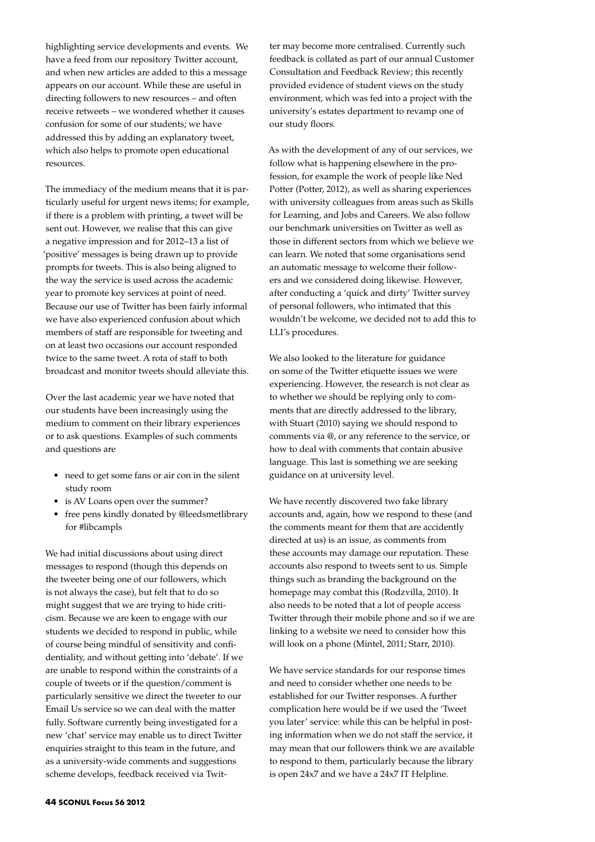highlighting service developments and events. We have a feed from our repository Twitter account, and when new articles are added to this a message appears on our account. While these are useful in directing followers to new resources – and often receive retweets – we wondered whether it causes confusion for some of our students; we have addressed this by adding an explanatory tweet, which also helps to promote open educational resources.

The immediacy of the medium means that it is particularly useful for urgent news items; for example, if there is a problem with printing, a tweet will be sent out. However, we realise that this can give a negative impression and for 2012–13 a list of 'positive' messages is being drawn up to provide prompts for tweets. This is also being aligned to the way the service is used across the academic year to promote key services at point of need. Because our use of Twitter has been fairly informal we have also experienced confusion about which members of staff are responsible for tweeting and on at least two occasions our account responded twice to the same tweet. A rota of staff to both broadcast and monitor tweets should alleviate this.

Over the last academic year we have noted that our students have been increasingly using the medium to comment on their library experiences or to ask questions. Examples of such comments and questions are

- need to get some fans or air con in the silent study room
- is AV Loans open over the summer?
- • free pens kindly donated by @leedsmetlibrary for #libcampls

We had initial discussions about using direct messages to respond (though this depends on the tweeter being one of our followers, which is not always the case), but felt that to do so might suggest that we are trying to hide criticism. Because we are keen to engage with our students we decided to respond in public, while of course being mindful of sensitivity and confidentiality, and without getting into 'debate'. If we are unable to respond within the constraints of a couple of tweets or if the question/comment is particularly sensitive we direct the tweeter to our Email Us service so we can deal with the matter fully. Software currently being investigated for a new 'chat' service may enable us to direct Twitter enquiries straight to this team in the future, and as a university-wide comments and suggestions scheme develops, feedback received via Twitter may become more centralised. Currently such feedback is collated as part of our annual Customer Consultation and Feedback Review; this recently provided evidence of student views on the study environment, which was fed into a project with the university's estates department to revamp one of our study floors.

As with the development of any of our services, we follow what is happening elsewhere in the profession, for example the work of people like Ned Potter (Potter, 2012), as well as sharing experiences with university colleagues from areas such as Skills for Learning, and Jobs and Careers. We also follow our benchmark universities on Twitter as well as those in different sectors from which we believe we can learn. We noted that some organisations send an automatic message to welcome their followers and we considered doing likewise. However, after conducting a 'quick and dirty' Twitter survey of personal followers, who intimated that this wouldn't be welcome, we decided not to add this to LLI's procedures.

We also looked to the literature for guidance on some of the Twitter etiquette issues we were experiencing. However, the research is not clear as to whether we should be replying only to comments that are directly addressed to the library, with Stuart (2010) saying we should respond to comments via @, or any reference to the service, or how to deal with comments that contain abusive language. This last is something we are seeking guidance on at university level.

We have recently discovered two fake library accounts and, again, how we respond to these (and the comments meant for them that are accidently directed at us) is an issue, as comments from these accounts may damage our reputation. These accounts also respond to tweets sent to us. Simple things such as branding the background on the homepage may combat this (Rodzvilla, 2010). It also needs to be noted that a lot of people access Twitter through their mobile phone and so if we are linking to a website we need to consider how this will look on a phone (Mintel, 2011; Starr, 2010).

We have service standards for our response times and need to consider whether one needs to be established for our Twitter responses. A further complication here would be if we used the 'Tweet you later' service: while this can be helpful in posting information when we do not staff the service, it may mean that our followers think we are available to respond to them, particularly because the library is open 24x7 and we have a 24x7 IT Helpline.